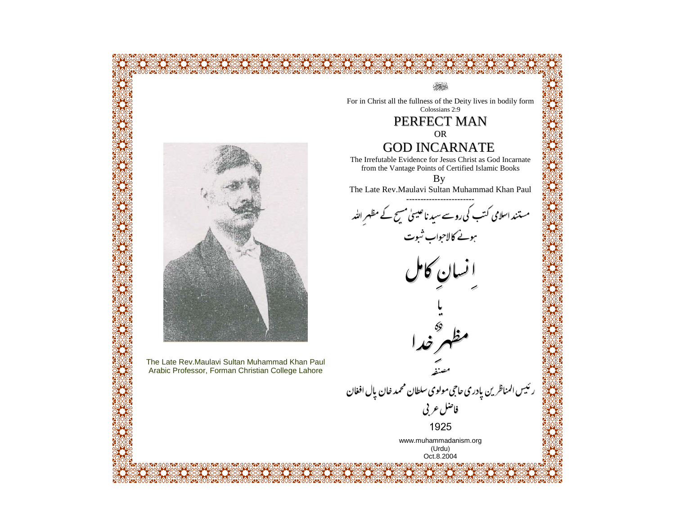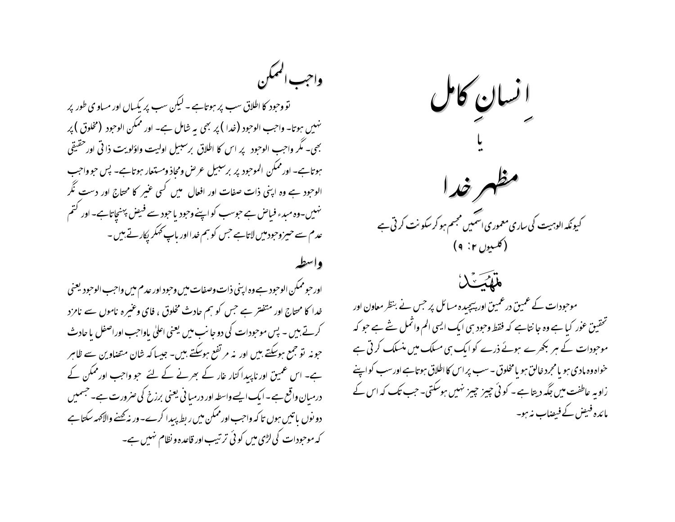واحب الهمكن تو وحود کا اطلاق سب پر ہوتاہے - لیکن سب پر یکساں اور مساو ی طور پر نهبیں ہوتا۔ واجب الوحبود (خدا ) پر بھی یہ شامل ہے۔ اور ممکن الوحبود (مخلوق ) پر بھی۔ مگر واحب الوحبود پر اس کا اطلاق بر سبیل اولیت واؤلویت ذا ٹی اور حقیقی ہوتاہے۔ اور ممکن الموحود پر برسبیل عرص ومحاذ ومستعار ہوتاہے۔ پس حو واحب الوحود ہے وہ اپنی ذات صفات اور افعال ہیں کسی عنیر کا محتاج اور دست نگر نہیں۔وہ میدء فیاص ہے حوسب کواپنے وحود یا حود سے فیص پہنچاتاہے۔اور کتم عدم سے حیمزوجودمیں لاتاہے جس کو ہم خدااور پاپ کھکر پکارتے ہیں۔ واسطه

اورحوممكن الوحود ہے وہ اپنی ذات وصفات میں وحبود اور عدم میں واحب الوحبود یعنی خدا کا محتاج اور متفتر ہے جس کو ہم حادث مخلوق ، فای وعنیرہ ناموں سے نامزد کرتے ہیں ۔ پس موحبودات کی دو جانب میں یعنی اعلیٰ یاواحب اوراصفل یا حادث حونہ تو جمع ہوسکتے ہیں اور نہ مرتفع ہوسکتے ہیں۔ جیسا کہ شان متصاوین سے ظاہر ہے۔ اس عمیق اور ناپیدا کنار غار کے بھرنے کے لئے حبو واجب اور ممکن کے درمبان واقع ہے۔ایک ایسے واسطہ اور درمبا فی یعنی برزخ کی صرورت ہے۔حبہمیں دو نوں پاتیں ہوں تا کہ واجب اور ممکن میں ریط پیدا کرے۔وریہ کھنے والاَکھہ سکتا ہے کہ موحودات کی لڑی میں کوئی ترتیب اور قاعدہ و نظام نہیں ہے۔



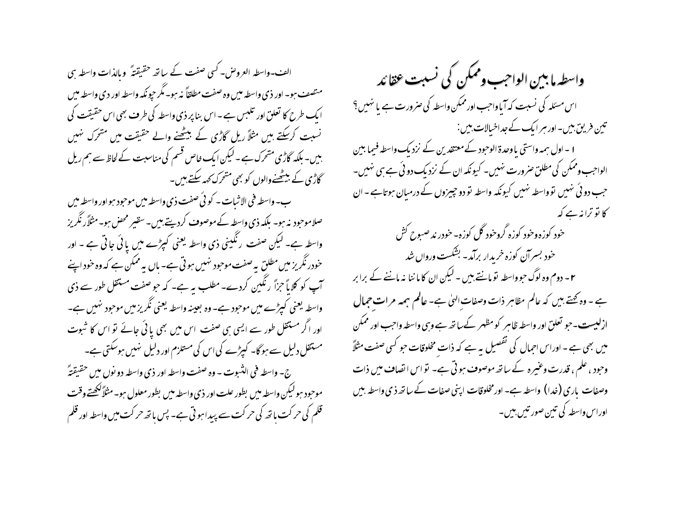الف -واسطہ العروض- کسی صفت کے ساتھ حقیقتہً ۖ وبالذات واسطہ سی متصف ہو۔ اور ذی واسطہ میں وہ صفت مطلقاً نہ ہو۔ مگر حیونکہ واسطہ اور دی واسطہ میں ایک طرح کا تعلق اور تلبس ہے۔اس بنا پر ذی واسطہ کی طرف بھی اس حقیقت کی نسبت کرسکتے ہیں مثلاً ریل گاڑی کے بیٹھنے والے حقیقت میں متحرک نہیں بىیں۔ بلکہ گاڑی متحرک ہے ۔ لیکن ایک خاص قسم کی مناسبت کے لحاظ سے ہم ریل گاڑی کے بیٹھنےوالوں کو بھی متحرک کہہ سکتے ہیں۔

ب- واسطه في الإثبات – كو ئي صفت ذي واسطه ميں موحبود ہو اور واسطہ ميں صلاموحود نہ ہو۔ بلکہ ذی واسطہ کے موصوف کردیتے ہیں۔سقیر محض ہو۔مثلاًر نگریز واسطہ ہے۔ لیکن صفت رنگینی ذی واسطہ یعنی کیپڑے میں یائی جاتی ہے ۔ اور خودر نگریز میں مطلق یہ صفت موحود نہیں ہو تی ہے۔ باں یہ ممکن ہے کہ وہ خود اپنے آپ کو کلایاً حمرٰاً رنگین کردے۔ مطلب یہ ہے۔ کہ حو صفت مستقل طور سے ذی واسطہ یعنی کیڑے میں موحود ہے۔ وہ بعینہ واسطہ یعنی نگریزمیں موحود نہیں ہے۔ اور اگر مستقل طور سے ایسی ہی صفت اس میں بھی یائی جائے تو اس کا شبوت مستقل دلیل سے ہوگا۔ کیپڑے کی اس کی مستلزم اور دلیل نہیں ہوسکتی ہے۔ ج- واسطه في الثبوت - وه صفت واسطه اور ذي واسطه دو نول ميں حقيقتهً موحود ہو لیکن واسطہ میں بطور علت اور ذی واسطہ میں بطور معلول ہو۔مثلاً ککھتے وقت قلم کی حر کت با تھ کی حرکت سے پیدا ہو تی ہے۔ پس باتھ حرکت میں واسطہ اور قلم

واسطہ ما بین الواحب وممکن کی نسبت عقائد اس مسئلہ کی نسبت کہ آیاواجب اور ممکن واسطہ کی صرورت ہے یا نہیں؟ تین فریق بیں-اور ہر ایک کے جداخیالات، بیں : ا ۔اول ہمہ واستی یاوحدۃ الوحبود کے معتقدین کے نزدیک واسطہ فیما بین الواحب وممکن کی مطلق صرورت نہیں۔ کیونکہ ان کے نزدیک دوئی ہے ہی نہیں۔ حب دو ئی نہیں توواسطہ نہیں کیونکہ واسطہ تو دو چیزوں کے درمیان ہوتاہے۔ان کا نو ترانه ہے کہ خود کوزه وخود کوزه گروخود گل کوزه-خودر ند صبوح کش خود بسرآن کوزه خریدار برآمد- بشکست ورواں شد ۲ – دوم وہ لوگ حوواسطہ تومانتے ہیں ۔ لیکن ان کاماننا نہ ماننے کے برابر ہے ۔ وہ کہتے بیں کہ عالم مظاہر ذات وصفات الہٰیٰ ہے۔ عالم ہمہہ مرات جمال ازليست-جو تعلق اور واسطه ظاہر كومظہر كےساتھ ہے وہى واسطہ واحب اور ممكن میں بھی ہے ۔ اوراس احمال کی تفصیل یہ ہے کہ ذات مخلوقات حبو کسی صفت مثلاً وحود ، علم ، قدرت وعنیرہ کے ساتھ موصوف ہو تی ہے۔ تو اس اتصاف میں ذات وصفات پاری (خدا) واسطہ ہے۔ اور مخلوقات اپنی صفات کے ساتھ ذی واسطہ بیں اوراس واسطہ کی تین صور تیں بیں۔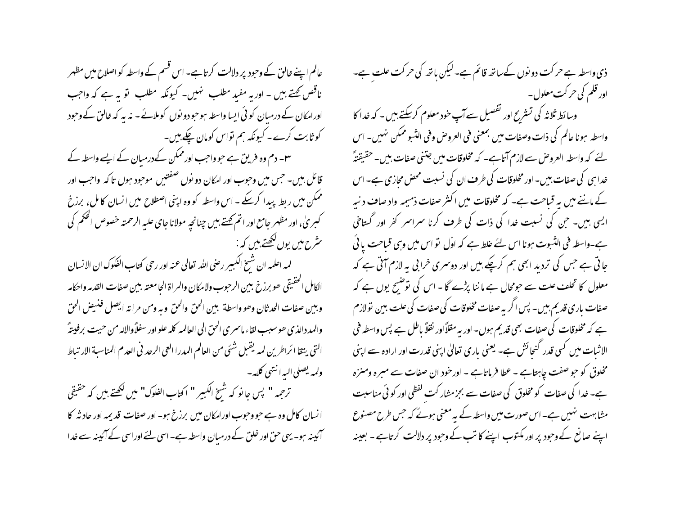عالم اپنے خالق کے وحبود پر دلالت کرتاہے۔ اس قسم کے واسطہ کو اصلاح میں مظہر ناقص کہتے ہیں ۔ اور یہ مفید مطلب ہنیں۔ کیونکہ مطلب لو یہ ہے کہ واجب اورامکان کے درمیان کوئی ایسا واسطہ ہوحبودو نوں کوملائے۔ نہ بہ کہ خالق کے وحبود کو ثابت کرے۔ کیونکہ ہم تواس کومان چکے ہیں۔ س ۔ دم وہ فریق ہے حبو واحب اور ممکن کے درمیان کے ایسے واسطہ کے قائل ہیں۔ حس میں وحوب اور امکان دو نوں صفتیں موحود ہوں تا کہ واحب اور ممکن میں ربط پیدا کرسکے ۔ اس واسطہ کو وہ اپنی اصطلاح میں انسان کامل، برزخ کېبرېٰ، اور مظهر جامع اور اتم <u>تحتے ب</u>يں چنانچہ مولانا جای عليہ الرحمتہ خصوص الحکم کی سٹرح میں یوں لکھتے ہیں کہ :-

لمه اعلمه ان شَيخ الكبير رصى الله تعالى عنه اور رحى كتاب الفكوك ان الإنسان الكامل الحقيقي حو برزخ ببين الرحبوب ولامكان والمراة الحامعته ببين صفات القدمه واحكامه وبين صفات الحدثان وحو واسطة ببين الحق والحق وبه ومن مرانة ايصل فنهيض الحق والمدد الذي حوسبب لقاء ماسمري الحق الى العالمه كله علو اور سفلاً والاله من حيت برفيبتهً التي يتقا ا ئراطرين لمه يقبل شئي من العالم المدرا العي الرحد في العدم المناسبة الارتباط ولمه يصلي البه انتهى كلامه –

ترحمه " پس حا نو که شسخ الکبیر " اکتاب الفلوک" میں لکھتے ہیں کہ حقیقی انسان کامل وہ ہے حبو وحبوب اورامکان میں برزخ ہو۔ اور صفات قدیمہ اور حاد ثہ کا آئینہ ہو۔ یہی حق اور خلق کے درمبان واسطہ ہے۔ اسی لئے اوراسی کے آئینہ سے خدا ذی واسطہ ہے حرکت دو نوں کےساتھ قائم ہے۔لیکن باتھ کی حرکت علت ہے۔ اور قلم کی حر کت معلول۔

وسائط ثلاثہ کی تستریح اور تفصیل سے آپ خود معلوم کرسکتے ہیں ۔ کہ خدا کا واسطه ہونا عالم کی ذات وصفات میں بمعنی فی العروض وفی الثبو ممکن نہیں۔ اس لئے کہ واسطہ العروض سے لازم آتاہے۔ کہ مخلوقات میں جتنی صفات بیں۔حقیقتہً خدا ہی کی صفات بیں۔ اور مخلوقات کی طرف ان کی نسبت محض محازی ہے۔ اس کے ماننے میں یہ قیاحت ہے۔ کہ مخلوقات میں اکثر صفات ذمیمہ واد صاف د نیہ ایسی بیں۔ حبی کی نسبت خدا کی ذات کی طرف کرنا سمراسمر کفر اور گستاخی ہے۔واسطہ فی الثبوت ہونا اس لئے علط ہے کہ اوّل تو اس میں وہی قیاحت یا ئی جا تی ہے جس کی تردید ابھی ہم کرچکے ہیں اور دوسری خرابی یہ لازم آتی ہے کہ معلول کا تحلف علت سے حومحال ہے ما ننا پڑے گا - اس کی نوشسح یوں ہے کہ صفات باری قدیم ہیں۔ پس اگر یہ صفات مخلوقات کی صفات کی علت بین تولازم ہے کہ مخلوقات کی صفات بھی قدیم ہوں۔ اور یہ مقلاً اور نقلاً باطل ہے پس واسطہ فی الاثبات میں کسی قدر گنجائش ہے۔ یعنی باری تعالیٰ اپنی قدرت اور ارادہ سے اپنی مخلوق کو حبو صفت جاہتاہے - عطا فرماتاہے - اورخود ان صفات سے مبرہ ومنزہ ہے۔ خدا کی صفات کو مخلوق کی صفات سے بجزمشار کت لفظی اور کو ٹی مناسبت مشابہت نہیں ہے۔اس صورت میں واسطہ کے یہ معنی ہوئے کہ جس طرح مصنوع اپنے صانع کے وجود پر اور مکتوب اپنے کا تب کے وجود پر دلالت کرتاہے ۔ بعینہ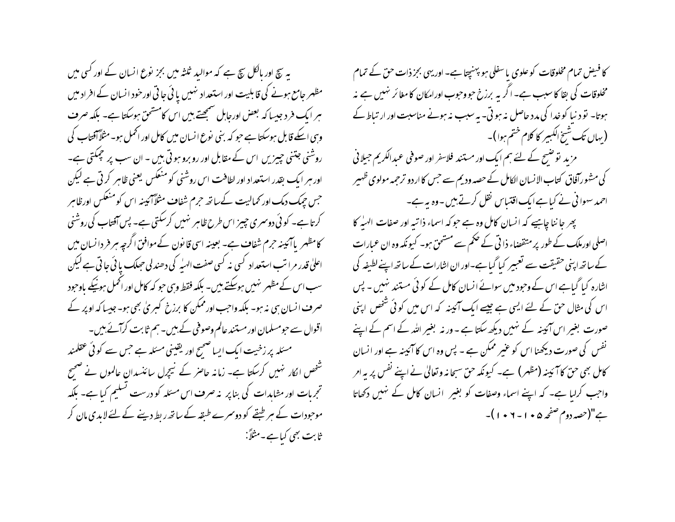یہ سچ اور مالکل سچ ہے کہ موالید ثلثہ میں بجز نوع انسان کے اور کسی میں مظہر جامع ہونے کی قابلیت اور استعداد نہیں یا ئی جاتی اور خود انسان کے افراد میں ہر ایک فرد جیسا کہ بعض اورجابل سمجھتے ہیں اس کامشحق ہوسکتا ہے۔ بلکہ صرف وہی اسکے قابل ہوسکتا ہے حبو کہ بنی نوع انسان میں کامل اور اٹھمل ہو۔ مثلاً آفتاب کی روشنی جتنی جییزیں اس کے مقابل اور رو برو ہوتی بیں ۔ ان سب پر جمکتی ہے۔ اور ہر ایک بقدر استعداد اور لطافت اس روشنی کو منعکس یعنی ظاہر کر تی ہے لیکن جس حیک دمک اور کمالیت کےساتھ حرم شفاف مثلاً آئیبنہ اس کومنعکس اورظاہر کرتا ہے۔ کوئی دوسمری چییز اس طرح ظاہر نہیں کرسکتی ہے۔ پس آفتاب کی روشنی کامظہر پاآئیبنہ حرم شفاف ہے۔ بعینہ اسی قانون کےموافن اگرچہ ہر فر دانسان میں اعلیٰ قدر مرا تب استعداد کسی نہ کسی صفت الهیٰہ کی دھندلی حبیک یا ٹی جاتی ہے لیکن سب اس کے مظہر نہیں ہوسکتے ہیں۔ بلکہ فقط وسی حو کہ کامل اور اٹھمل ہونیکے باوحود صرف انسان ہی نہ ہو۔ بلکہ واجب اور ممکن کا برزخ کسریٰ بھی ہو۔ جیسا کہ اوپر کے اقوال سے حبومسلمان اور مستند عالم وصوفی کے ہیں۔ ہم ثابت کرآئے ہیں۔ مسئلہ پر زخیت ایک ایسا صحیح اور یقینی مسئلہ ہے جس سے کوئی عقلمند شخص الکار نہیں کرسکتا ہے۔ زمانہ حاصر کے نیچرل سائنسدان عالموں نے صحیح تجرمات اور مشاہدات کی بناپر پنہ صرف اس مسئلہ کو درست تسلیم کیا ہے۔ بلکہ موحودات کے سر طبقے کو دوسمرے طبقہ کے ساتھ ریط دینے کے لئے لابدی مان کر ثابت بھی کیاہے۔مثلاً:

کا فیض تمام مخلوقات کو علوی با سفلی ہو پہنچتا ہے۔ اوریہی بجز ذات حق کے تمام مخلوقات کی بقا کا سبب ہے۔ اگر یہ برزخ حبووحبوب اورامکان کا مغائر نہیں ہے نہ ہوتا۔ نو د نیا کو خدا کی مدد حاصل نہ ہوتی۔ بہ سبب نہ ہونے مناسبت اور ار تباط کے (بهاں تک شیخ الکبیر کا کلام ختم ہوا)۔ مزید نوشسح کے لئے ہم ایک اور مستند فلاسفر اور صوفی عبدالکریم جیلانی کی مشہورآفاق کتاب الانسان الکامل کے حصہ ودیم سے جس کا اردو ترجمہ مولوی ظہیر احمد سہوا فی نے کیا ہے ایک اقتباس نقل کرتے ہیں۔وہ یہ ہے۔ پھر جاننا چاہیے کہ انسان کامل وہ ہے حوکہ اسماء ذاتیہ اور صفات الہیٰہ کا اصلی اورملک کے طور پر متقصناء ذا تی کے حکم سے مستحق ہو۔ کیونکہ وہ ان عمارات کے ساتھ اپنی حقیقت سے تعبیر کیا گیا ہے۔اور ان اشارات کے ساتھ اپنے لطیفہ کی اشارہ کیا گیاہے اس کے وجود میں سوائے انسان کامل کے کوئی مستند نہیں ۔ پس اس کی مثال حن کے لئے ایسی ہے جیسے ایک آئینہ کہ اس میں کوئی شخص اپنی

صورت بغیر اس آئینہ کے نہیں دیکھ سکتا ہے ۔ ور نہ بغیر اللہ کے اسم کے اپنے

نفس کی صورت دیکھنا اس کو عنیر ممکن ہے ۔ پس وہ اس کا آئینہ ہے اور انسان

کامل بھی حن کا آئینہ (مظہر) ہے۔ کیونکہ حن سبحانہ وتعالیٰ نے اپنے نفس پر یہ امر

واجب کرلیا ہے۔ کہ اپنے اسماء وصفات کو بغیرِ انسان کامل کے نہیں دکھاتا ہے"(حصہ دوم صفحہ ۵ • ۱ - ۲ • ۱ )۔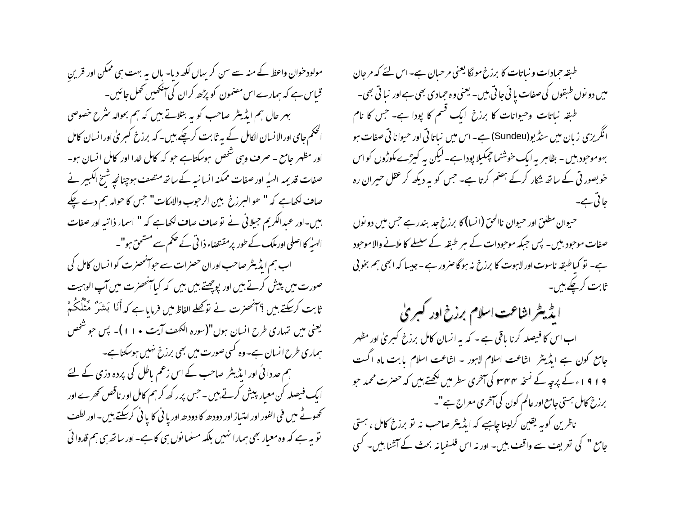مولود خوان واعظ کے منہ سے سن کر یہاں لکھ دیا- ہاں یہ بہت ہی ممکن اور قرین قباس ہے کہ ہمارے اس مصنمون کو پڑھ کران کی آنکھیں تھل جائیں۔ بہر حال ہم ایڈیٹر صاحب کو یہ بتلاتے ہیں کہ ہم بحوالہ سٹرح خصوصی الحکم جامی اورالانسان الکامل کے بیر ثابت کرچکے ہیں۔ کہ برزخ کسریٰ اورانسان کامل اور مظہر جامع ۔ صرف وہی شخص ہوسکتاہے جو کہ کامل غدا اور کامل انسان ہو۔ صفات قدیمہ الہیٰہ اور صفات ممکنہ انسانیہ کے ساتھ متصف ہوچنانچہ شیخ الکبیر نے صاف لکھاہے کہ " ھو البرزخ بین الرحوب والامکات" جس کا حوالہ ہم دے چکے ہیں۔اور عبدالکریم جیلانی نے توصاف صاف لکھاہے کہ " اسماء ذاتیہ اور صفات الهبله کا اصلی اورملک کے طور پرمقتضاء ذا تی کے حکم سے مشحق ہو"۔ اب ہم ایڈیٹر صاحب اوران حصرات سے حوانھھنرت کو انسان کامل کی صورت میں پیش کرتے ہیں اور پوچھتے ہیں بیں کہ کیاآنحصرت میں آپ الوہیت ثابت كرسكتے بين ؟ آنحصرت نے نوڭھلے الفاظ ميں فرمایا ہے كہ أَنَا بَشَرٌ مَّنْلُكُمْ یعنی میں تہاری طرح انسان ہوں"(سورہ الکھف آیت • ۱۱)۔ پس حو شخص ہماری طرح انسان ہے۔وہ کسی صورت میں بھی برزخ نہیں ہوسکتاہے۔ ہم حددا ئی اور ایڈیٹر صاحب کے اس زعم ماطل کی پردہ دزی کے لئے ایک فیصلہ کن معیار پیش کرتے ہیں ۔ حس پرر کھ کرہم کامل اور ناقص کھرے اور تحصوتے میں فی الفور اور امتیاز اور دودھ کا دودھ اور یا نی کا یا نی کرسکتے ہیں۔ اور لطف نو پہ ہے کہ وہ معیار بھی ہمارا نہیں بلکہ مسلمانوں ہی کا ہے۔اور ساتھ ہی ہم قدوا ئی

طبقہ حمادات و نباتات کا برزخ مولگا یعنی مرحبان ہے۔اس لئے کہ مرحان میں دو نوں طبقوں کی صفات یا ئی َ جا تی بیں۔ یعنی وہ حمادی بھی ہے اور نبا تی بھی۔ طبقہ نباتات وحیوانات کا برزخ ایک قسم کا پودا ہے۔ جس کا نام انگریزی زبان میں سنڈیو(Sundeu) ہے۔ اس میں نباتا تی اور حیوانا تی صفات ہو بہوموحود ہیں۔ بظاہر یہ ایک خوشنما جمکیلا پودا ہے۔لیکن یہ کیڑے مکوڑوں کواس خوبصور ٹی کے ساتھ شکار کرکے ہضم کرتا ہے۔ جس کو یہ دیکھ کر عقل حیران رہ حائی ہے۔

حیوان مطلق اور حیوان ناالحق (انسا) کا برزخ جد بندر ہے جس میں دو نوں صفات موحود بیں۔ پس جبکہ موحودات کے ہر طبقہ کے سلسلے کا ملانے والا موحود ہے۔ تو کیاطبقہ ناسوت اور لاہوت کا برزخ نہ ہوگا صرور ہے ۔جیسا کہ ابھی ہم بخو پی ثابت کرچکے ہیں۔

ایڈیٹر اشاعت اسلام برزخ اور کبریٰ اب اس کا فیصلہ کرنا یاقی ہے ۔ کہ یہ انسان کامل برزخ کبریٰ اور مظہر جامع کون ہے ایڈیٹر ِ اشاعت اسلام لاہور - اشاعت اسلام یابت ماہ اگست 9 ا 9 ا ء کے پرچہ کے نسخہ ۳۴۴ کی آخری سطر میں لکھتے بیں کہ حصرت محمد حو برزخ کامل ہستی جامع اور عالم کون کی آمخری معراج ہے"۔ ناظرین کو ہہ یقین کرلینا چاہیے کہ ایڈیٹر صاحب نہ تو برزخ کامل ، ہستی

جامع " کی تعریف سے واقف بیں۔ اور نہ اس فلسفیانہ بحث کے آشنا ہیں۔ کسی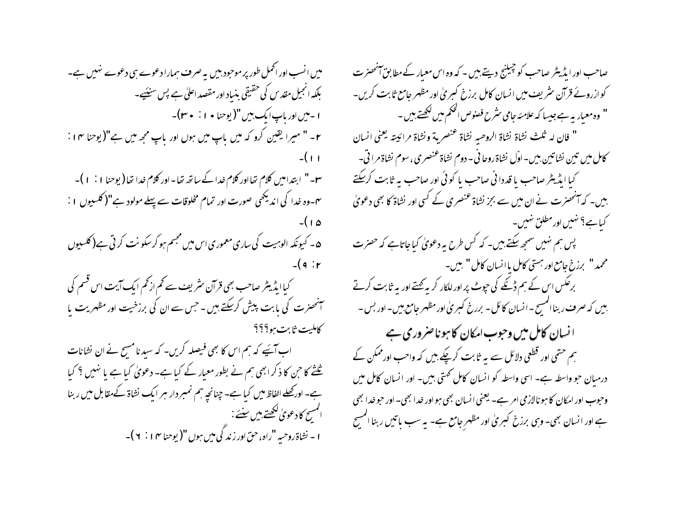میں انسب اور اٹھمل طور پر موحبود بیں یہ صرف ہمارا دعوے ہی دعوے نہیں ہے۔ بلکہ انجیل مقدس کی حقیقی بنیاد اور مقصد اعلیٰ ہے پس سنیَہے۔ ۱ - میں اور باپ ایک بیں "( یوحنا • ۱ : • ۳)۔ ۲- " میرا یقین کرو کہ میں باپ میں ہوں اور باپ مجھ میں ہے"(یوحنا ۴ ا :  $-(1)$ س -" ابتدامیں کلام تھااور کلام خدا کے ساتھ تھا -اور کلام خدا تھا( یوحنا ۱ : ۱ ) – یں۔وہ خدا کی اندیکھی صورت اور تمام مخلوقات سے پہلے مولود ہے"( کلسیوں ۱ : ۵۱)-۵- کیونکہ الوہیت کی ساری معموری اس میں مجسم ہو کر سکو نت کر تی ہے( کلسیوں  $-(9: r)$ کیاایڈیٹر صاحب بھی قرآن <sup>م</sup>ثر یف سے کم از *کم* ایک آیت اس قسم کی آنھنرت کی بابت پیش کرسکتے ہیں ۔ *جس سے* ان کی برزخیت اور مظہریت با كامليت ثابت ببو؟؟؟ اب آئیے کہ ہم اس کا بھی فیصلہ کریں۔ کہ سیدنا مسح نے ان نشانات <u>ثلثے کا حن کا ذکر ابھی ہم نے بطور معیار کے کیا ہے</u>۔ دعویٰ کیا ہے یا نہیں ؟ کیا ہے۔ اور محصلے الفاظ میں کیا ہے۔ چنانچہ ہم نمبر دار ہر ایک نشاۃ کےمقابل میں ربنا المسح كادعوىٰ لكھتے،بين سنئے :-ا - نشاة روحيه "راه، حقّ اور زندگي مين ہوں "( يوحنا ١٢ ) + ) -

صاحب اور ایڈیٹر صاحب کو چیلنج دیتے ہیں ۔ کہ وہ اس معیار کے مطابق آنحصرت کو ازروئے قرآن سٹریف میں انسان کامل برزخ کسریٰ اور مظہر جامع ثابت کریں۔ " وہ معیار بہ ہے جیسا کہ علامئہ جامی سٹرح فصنوص الحکم میں لکھتے ہیں ۔ " فان له ثلث نشاة نشاة الروصه نشاة عنصرية ونشاة مرائيته يعني السان كامل ميں تين نشاتين بين - اوّل نشاة روحا في - دوم نشاة عنصري ، سوم نشاة مرا قي -کیا ایڈیٹر صاحب یا قددانی صاحب یا کوئی اور صاحب یہ ثابت کرسکتے بیں۔ کہ آنحصرت نے ان میں سے بجز نشاۃ عنصری کے کسی اور نشاۃ کا بھی دعویٰ کیاہے؟ نہیں اور مطلق نہیں۔ پس ہم نہیں سمجھ سکتے ہیں۔ کہ کس طرح یہ دعویٰ کیاجاتاہے کہ حصرت محمد " برزخ جامع اور بهتي كامل باانسان كامل " بين-برعکس اس کے ہم ڈنکے کی حپوٹ پر اور للکار کر بہ بھتے اور بہ ثابت کرتے بیں کہ صرف ربنا المسیح – انسان کائل – بررخ کسریٰ اور مظہر جامع ہیں۔ اور بس – ا نسان کامل میں وحبوب امکان کا ہو ناصر وری ہے ہم حتمی اور قطعی دلائل سے یہ ثابت کرچکے بیں کہ واحب اور ممکن کے درمیان حو واسطہ ہے۔ اسی واسطہ کو انسان کامل کھتی بیں۔ اور انسان کامل میں وحبوب اور امکان کا ہونالازمی امر ہے۔ یعنی انسان بھی ہواور خدا بھی۔ اور حبو خدا بھی ہے اور انسان بھی۔ وہی برزخ کسریٰ اور مظہر جامع ہے۔ یہ سب پاتیں ربنا المسیح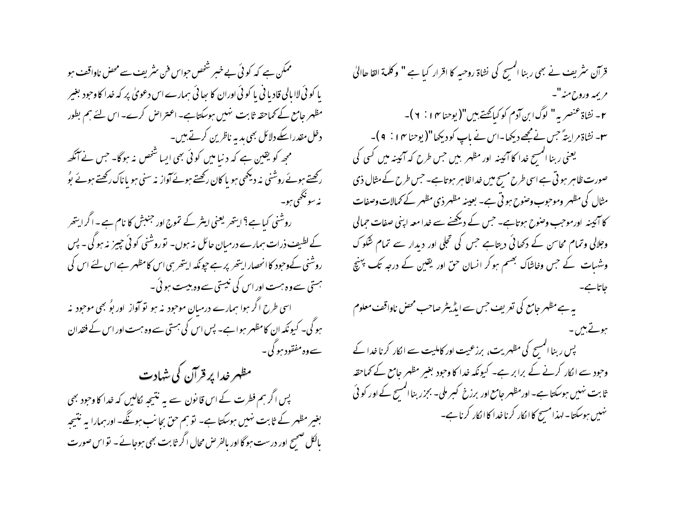ممکن ہے کہ کوئی بے خبر شخص حواس فن سٹریف سے محض ناواقف ہو یا کو ئی لاا پالی قادیا فی یا کو ئی اوران کا سائی ہمارے اس دعویٰ پر کہ خدا کاوحود بغیر مظہر جامع کے کماحقہ ثابت نہیں ہوسکتاہے۔ اعتراض کرے۔ اس لئے ہم بطور دخل مقدراسکے دلائل بھی بد یہ ناظرین کرتے ہیں۔ ممجھ کو یقین ہے کہ دنیا میں کوئی بھی ایسا شخص نہ ہوگا۔ جس نے آنکھ رکھتے ہوئے روشنی نہ دیکھی ہو یا کان رکھتے ہوئے آواز نہ سنی ہو یاناک رکھتے ہوئے بوُ نە سونځھي ہو۔ روشنی کیاہے؟ایتھر یعنی اینٹر کے تموج اور جنبش کا نام ہے۔اگرایتھر کے لطیف ذرات ہمارے درمیان حائل نہ ہوں۔ توروشنی کوئی چیز نہ ہوگی۔ پس روشنی کےوحبود کا انحصار ایتھر پر ہے حیونکہ ایتھرسی اس کامظہر ہے اس لئے اس کی ہستی سےوہ ہست اور اس کی نیستی سےوہ بیست ہو ئی ۔ اسی طرح اگر ہوا ہمارے درمیان موجود پنہ ہو تو آواز اور بوُ بھی موجود پنہ ہو گی۔ کیونکہ ان کامظہر ہواہے۔ پس اس کی ہستی سے وہ ہست اور اس کے فقدان سے وہ مفقود ہو گی۔ مظہر خدا پر قرآن کی شہادت پس اگر ہم فطرت کے اس قانون سے یہ نتیجہ کالیں کہ خدا کا وحود بھی بغیر مظہر کے ثابت نہیں ہوسکتا ہے۔ تو ہم حق بجانب ہوگگے۔ اور ہمارا بہ نتیجہ بالکل صحیح اور درست ہوگا اور بالفر حس محال اگر ثابت بھی ہوجائے۔ نو اس صورت

قرآن سٹریف نے بھی ربنا المسح کی نشاۃ روحیہ کا اقرار کیا ہے " وکلمة القا ھاالیٰ مريمه وروح منه"۔ ٢- نشاة عنصر به " لوگ ابن آدم كوكيائحتے بين "(يوحنا ١٣ ] . ٢ )-سو۔ نشاۃ مرایسّۂ حس نے مجھے دیکھا۔اس نے باپ کودیکھا"(یوحنا ۱۴ : ۹ )۔ یعنی ربنا المسح خدا کا آئینہ اور مظہر بیں جس طرح کہ آئینہ میں کسی کی صورت ظاہر ہو تی ہے اسی طرح مسح میں خداظاہر ہوتاہے۔ جس طرح کے مثال ذی مثال کی مظہر وموحوب وصوح ہو تی ہے۔ بعینہ مظہر ذی مظہر کے کمالات وصفات کا آئینہ اورموجب وصوح ہوتاہے۔ جس کے دیکھنے سے غدامعہ اپنی صفات حمالی وجلالی وتمام محاسن کے دکھائی دیتاہے جس کی تجلی اور دیدار سے تمام شکو ک وشہات کے حس وخاشاک بھسم ہو کر انسان حق اور یقین کے درجہ تک پہنچ حاتات بے۔ یہ ہے مظہر جامع کی تعریف حس سے ایڈیٹر صاحب محض ناواقف معلوم ہوتے ہیں۔ پس ربنا المسح کی مظہریت، برزعیت اور کاملیت سے الکار کرنا خدا کے وحود سے الکار کرنے کے برابر ہے۔ کیونکہ خدا کا وحود بغیر مظہر جامع کے کماحقہ ثابت نہیں ہوسکتا ہے۔ اورمظہر جامع اور برزخ کسر ملی۔ بجزر بنا المسح کے اور کو ٹی نهبیں ہوسکتا۔ لہذا مسیح کا انکار کرنا غدا کا انکار کرنا ہے۔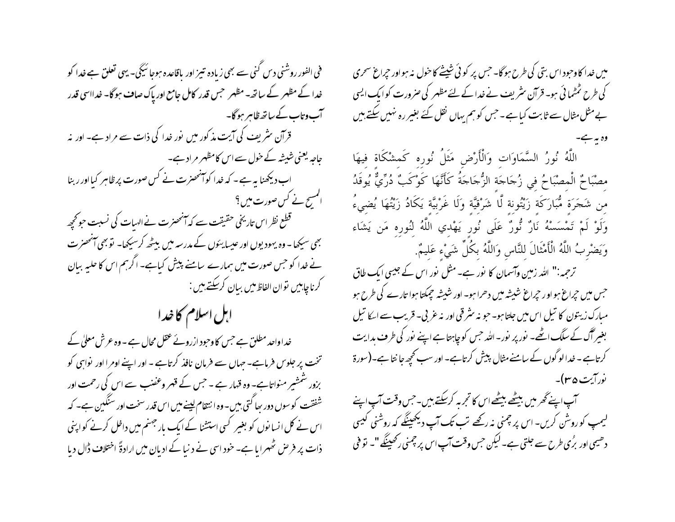میں غدا کاوحود اس بتی کی طرح ہوگا۔ جس پر کوئی شیشے کا خول نہ ہواور حیراغ سحری کی طرح ٹمٹما ئی ہو۔ قرآن سٹریف نے غدا کے لئے مظہر کی صرورت کوایک ایسی بے مثل مثال سے ثابت کیا ہے۔ جس کو ہم یہاں نقل کئے بغیر رہ نہیں سکتے ہیں

اللَّهُ نُورُ السَّمَاوَاتِ وَالْأَرْضِ مَثَلُ نُورِهِ كَمِشْكَاةٍ فِيهَا مصْبَاحٌ الْمصْبَاحُ في زُجَاجَة الزُّجَاجَةُ كَأَنَّهَا كَوْكَبٌ دُرِّيٌّ يُوقَدُ مِن شَجَرَة مُّبَارَكَة زَيْتُونة لَّا شَرْقيَّة وَلَا غَرْبيَّة يَكَادُ زَيْتُهَا يُضىءُ وَلَوْ لَمْ تَمْسَسْهُ نَارٌ نُّورٌ عَلَى نُورٍ يَهْدي اللَّهُ لنُورِه مَن يَشَاء وَيَضْرِبُ اللَّهُ الْأَمْثَالَ للنَّاسِ وَاللَّهُ بكُلِّ شَيْءٍ عَليمٌ.

ترحمہ:" اللہ زمین وآسمان کا نور ہے۔مثل نور اس کے جیسی ایک طاق حبس میں حیراع ہواور حیراع شیشہ میں دھرا ہو۔ اور شیشہ حیمکتا ہوا تارے کی طرح ہو مبارک زیتون کا تیل اس میں جلتا ہو۔ جو نہ سثر قی اور نہ عربی۔ قریب سے ایکا تیل بغیر آگ کے سلگ اٹھے۔ نور پر نور۔اللہ حس کو چاہتا ہے اپنے نور کی طرف بدایت کرتاہے - خدا لو گوں کے سامنے مثال پیش کرتاہے۔ اور سب کحچھ جا نتاہے۔(سورۃ نورايت ۴۵ س

آپ اپنے گھر میں بیٹھے بیٹھے اس کا تجربہ کرسکتے ہیں۔جس وقت آپ اپنے لیمپ کوروشْن کریں- اس پر چمنی نہ رکھے تب تک آپ دیکھینگے کہ روشنی کیسی دھیمی اور بڑی طرح سے جلتی ہے۔لیکن جس وقت آپ اس پر چمنی رکھینگے "۔ تو فنی

فی الفور روشنی دیں گنی سے بھی زیادہ تیبز اور یاقاعدہ ہوجا ئیگی۔ یہی تعلق ہے خدا کو خدا کے مظہر کے ساتھ۔مظہر جس قدر کامل جامع اور پاک صاف ہوگا۔ خدااسی قدر آب وتاب کے ساتھ ظاہر ہو گا۔ قرآن سٹریف کی آیت مذکور میں نور خدا کی ذات سے مراد ہے۔ اور نہ جاجہ یعنی شیشہ کے خول سے اس کامظہر مراد ہے۔ اب دیکھنا ہہ ہے ۔ کہ خدا کوآنحصرت نے کس صورت پر ظاہر کیااور ربنا المسح نے کس صورت میں ؟ ۔<br>قطع نظر اس تاریخی حقیقت سے کہ آنحصرت نے ال*ہ*یات کی نسبت حو تحچھ بھی سیکھا۔ وہ یہودیوں اور عیسا یئوں کے مدرسہ میں بیٹھ کرسیکھا۔ توبھی آنحصرت نے خدا کو حس صورت میں ہمارے سامنے پیش کیاہے۔ اگرہم اس کا حلبہ بیان گرناچاہیں توان الفاظ**می**ں بیان کرسکتے ہیں :

ابل اسلام کا خدا

خداواحد مطلق ہے جس کاوحبود ازروئے عقل محال ہے۔وہ عرش معلیٰ کے تخت پر جلوس فرماہے۔ جہاں سے فرمان نافذ کرتاہے ۔ اور اپنے اومرا اور نواہی کو بزور شمشیر منواتاہے۔ وہ قہار ہے ۔ جس کے قہر وعضب سے اس کی رحمت اور شفقت کوسول دور را گتی بیں۔وہ انتقام لینے میں اس قدر سخت اور سنگین ہے۔ کہ اس نے کل انسانوں کو بغیر کسی استشنا کے ایک بار جہنم میں داخل کرنے کواپنی ذات پر فر ص ٹھہرا یا ہے۔ خود اسی نے د نیا کے ادیان میں ارادۃً اختلاف ڈال دیا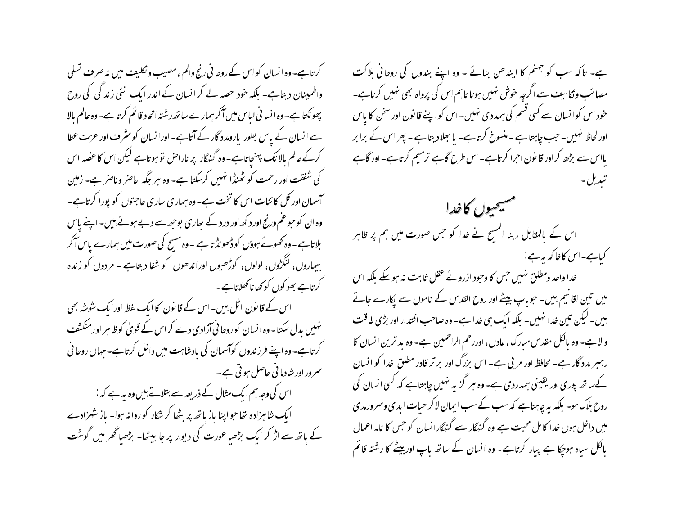کرتاہے۔ وہ انسان کو اس کے روحا فی رنج والم ، مصیب و نکلیف میں نہ صرف تسلی واطمینان دیتاہے۔ بلکہ خود حصہ لے کر انسان کے اندر ایک نئی زند گی کی روح پھونکتاہے۔ وہ انسا فی لیاس میں آکر ہمارے ساتھ رشتہ اتحاد قائم کرتاہے۔ وہ عالم بالا سے انسان کے پاس بطور پارومدد گار کے آتاہے۔ اورانسان کو سثر ف اور عزت عطا کرکے عالم بالا تک پہنچاتاہے۔ وہ گنہگار پر ناراص نو ہوتاہے لیکن اس کا عضہ اس کی شفقت اور رحمت کو ٹھنڈا نہیں کرسکتا ہے۔ وہ ہر جگہ حاصر و ناصر ہے۔ زمین آسمان اور کل کائنات اس کا تخت ہے۔ وہ ہماری ساری حاجتوں کو پورا کرتاہے۔ وہ ان کو حوعم ورنج اور د کھ اور درد کے ساری بوجھ سے دبے ہوئے ہیں۔ اپنے پاس بلاتاہے۔وہ تھوئے ہوؤں کو ڈھونڈ تاہے ۔وہ مسح کی صورت میں ہمارے پاس آکر بیماروں، لنگڑوں، لولوں، کوڑھیوں اوراندھوں کو شفا دیتاہے - مردوں کو زندہ کرتاہے بھو کوں کو کھا ناکھلاتاہے۔

اس کے قانون اٹل بیں۔ اس کے قانون کا ایک لفظ اورایک شوشہ بھی نہیں بدل سکتا۔وہ ا نسان کوروحا فی آزادی دے کر اس کے قویٰ کوظاہر اورمنکشف کرتاہے۔وہ اپنے فرز ندوں کوآسمان کی بادشاہت میں داخل کرتاہے۔حہاں روحا ٹی سرور اور شادما نی حاصل ہو تی ہے۔

اس کی وجہ ہم ایک مثال کے ذریعہ سے بتلاتے ہیں وہ بہ ہے کہ : ایک شاہزادہ تھا جواپنا باز باتھ پر بٹھا کر شکار کوروا نہ ہوا۔ باز شہزادے کے باتھ سے اڑ کر ایک بڑھیا عورت کی دیوار پر جا بیٹھا- بڑھیا گھر میں گوشت ہے۔ تاکہ سب کو جہنم کا ایندھن بنائے ۔ وہ اپنے بندوں کی روحانی ہلاکت مصائب وٹکالیف سے اگرچہ خوش نہیں ہوتا تاہم اس کی پرواہ بھی نہیں کرتاہے۔ خود اس کوانسان سے کسی قسم کی ہمددی نہیں۔اس کواپنے قانون اور سخن کا پاس اور لحاظ نہیں۔ جب چاہتا ہے ۔ منسوخ کرتاہے۔ یا بھلادیتا ہے۔ پھر اس کے برابر بااس سے بڑھ کراور قانون احرا کرتاہے۔اس طرح گاہے ترمیم کرتاہے۔اور گاہے

مسيحيون كاخدا اس کے بالمقابل ر بنا المسح نے خدا کو جس صورت میں ہم پر ظاہر كىاہے-اس كاغا كہ يہ ہے: خدا واحد ومطلق نہیں جس کا وحبود ازروئے عقل ثابت نہ ہوسکے بلکہ اس میں تین اقا نیم بیں۔ حبوباپ بیٹے اور روح القدس کے ناموں سے یکارے جاتے ہیں۔ لیکن تین خدا نہیں۔ بلکہ ایک ہی خدا ہے۔ وہ صاحب اقتدار اور بڑی طاقت والا ہے۔ وہ بالکل مقدس مبارک ، عادل ، اوررحم الراحمین ہے۔ وہ بد ترین انسان کا رہسر مدد گار ہے۔ محافظ اور مر بی ہے۔ اس بزرگ اور برتر قادر مطلق خدا کو انسان کےساتھ پوری اور یقینی ہمدردی ہے۔وہ ہر گزیہ نہیں چاہتاہے کہ کسی انسان کی روح ہلاک ہو۔ بلکہ یہ چاہتاہے کہ سب کے سب ایمان لاکر حیات ابدی وسمرورمدی میں داخل ہوں خدا کا مل محبت ہے وہ گنہگار سے گنہگارانسان کو جس کا نامہ اعمال بالکل سیاہ ہوجکا ہے پیار کرتاہے۔ وہ انسان کے ساتھ باپ اوربیٹے کا رشتہ قائم